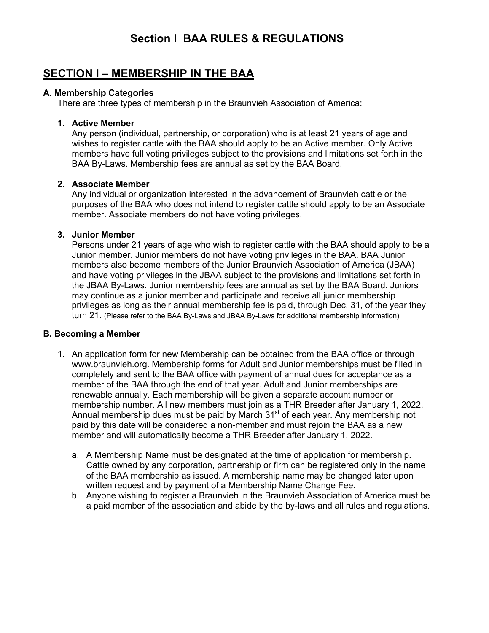## **Section I BAA RULES & REGULATIONS**

## **SECTION I – MEMBERSHIP IN THE BAA**

### **A. Membership Categories**

There are three types of membership in the Braunvieh Association of America:

### **1. Active Member**

Any person (individual, partnership, or corporation) who is at least 21 years of age and wishes to register cattle with the BAA should apply to be an Active member. Only Active members have full voting privileges subject to the provisions and limitations set forth in the BAA By-Laws. Membership fees are annual as set by the BAA Board.

### **2. Associate Member**

Any individual or organization interested in the advancement of Braunvieh cattle or the purposes of the BAA who does not intend to register cattle should apply to be an Associate member. Associate members do not have voting privileges.

### **3. Junior Member**

Persons under 21 years of age who wish to register cattle with the BAA should apply to be a Junior member. Junior members do not have voting privileges in the BAA. BAA Junior members also become members of the Junior Braunvieh Association of America (JBAA) and have voting privileges in the JBAA subject to the provisions and limitations set forth in the JBAA By-Laws. Junior membership fees are annual as set by the BAA Board. Juniors may continue as a junior member and participate and receive all junior membership privileges as long as their annual membership fee is paid, through Dec. 31, of the year they turn 21. (Please refer to the BAA By-Laws and JBAA By-Laws for additional membership information)

### **B. Becoming a Member**

- 1. An application form for new Membership can be obtained from the BAA office or through www.braunvieh.org. Membership forms for Adult and Junior memberships must be filled in completely and sent to the BAA office with payment of annual dues for acceptance as a member of the BAA through the end of that year. Adult and Junior memberships are renewable annually. Each membership will be given a separate account number or membership number. All new members must join as a THR Breeder after January 1, 2022. Annual membership dues must be paid by March 31<sup>st</sup> of each year. Any membership not paid by this date will be considered a non-member and must rejoin the BAA as a new member and will automatically become a THR Breeder after January 1, 2022.
	- a. A Membership Name must be designated at the time of application for membership. Cattle owned by any corporation, partnership or firm can be registered only in the name of the BAA membership as issued. A membership name may be changed later upon written request and by payment of a Membership Name Change Fee.
	- b. Anyone wishing to register a Braunvieh in the Braunvieh Association of America must be a paid member of the association and abide by the by-laws and all rules and regulations.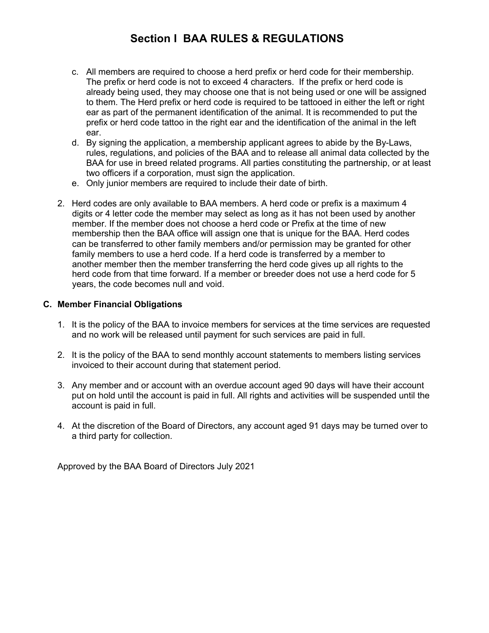## **Section I BAA RULES & REGULATIONS**

- c. All members are required to choose a herd prefix or herd code for their membership. The prefix or herd code is not to exceed 4 characters. If the prefix or herd code is already being used, they may choose one that is not being used or one will be assigned to them. The Herd prefix or herd code is required to be tattooed in either the left or right ear as part of the permanent identification of the animal. It is recommended to put the prefix or herd code tattoo in the right ear and the identification of the animal in the left ear.
- d. By signing the application, a membership applicant agrees to abide by the By-Laws, rules, regulations, and policies of the BAA and to release all animal data collected by the BAA for use in breed related programs. All parties constituting the partnership, or at least two officers if a corporation, must sign the application.
- e. Only junior members are required to include their date of birth.
- 2. Herd codes are only available to BAA members. A herd code or prefix is a maximum 4 digits or 4 letter code the member may select as long as it has not been used by another member. If the member does not choose a herd code or Prefix at the time of new membership then the BAA office will assign one that is unique for the BAA. Herd codes can be transferred to other family members and/or permission may be granted for other family members to use a herd code. If a herd code is transferred by a member to another member then the member transferring the herd code gives up all rights to the herd code from that time forward. If a member or breeder does not use a herd code for 5 years, the code becomes null and void.

### **C. Member Financial Obligations**

- 1. It is the policy of the BAA to invoice members for services at the time services are requested and no work will be released until payment for such services are paid in full.
- 2. It is the policy of the BAA to send monthly account statements to members listing services invoiced to their account during that statement period.
- 3. Any member and or account with an overdue account aged 90 days will have their account put on hold until the account is paid in full. All rights and activities will be suspended until the account is paid in full.
- 4. At the discretion of the Board of Directors, any account aged 91 days may be turned over to a third party for collection.

Approved by the BAA Board of Directors July 2021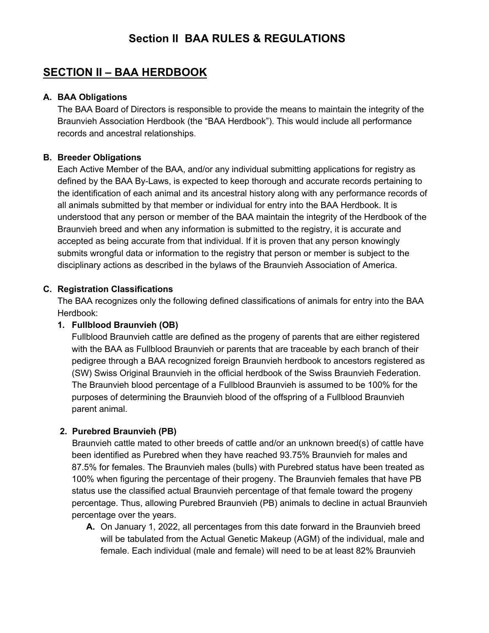## **Section II BAA RULES & REGULATIONS**

## **SECTION II – BAA HERDBOOK**

### **A. BAA Obligations**

The BAA Board of Directors is responsible to provide the means to maintain the integrity of the Braunvieh Association Herdbook (the "BAA Herdbook"). This would include all performance records and ancestral relationships.

### **B. Breeder Obligations**

Each Active Member of the BAA, and/or any individual submitting applications for registry as defined by the BAA By-Laws, is expected to keep thorough and accurate records pertaining to the identification of each animal and its ancestral history along with any performance records of all animals submitted by that member or individual for entry into the BAA Herdbook. It is understood that any person or member of the BAA maintain the integrity of the Herdbook of the Braunvieh breed and when any information is submitted to the registry, it is accurate and accepted as being accurate from that individual. If it is proven that any person knowingly submits wrongful data or information to the registry that person or member is subject to the disciplinary actions as described in the bylaws of the Braunvieh Association of America.

### **C. Registration Classifications**

The BAA recognizes only the following defined classifications of animals for entry into the BAA Herdbook:

### **1. Fullblood Braunvieh (OB)**

Fullblood Braunvieh cattle are defined as the progeny of parents that are either registered with the BAA as Fullblood Braunvieh or parents that are traceable by each branch of their pedigree through a BAA recognized foreign Braunvieh herdbook to ancestors registered as (SW) Swiss Original Braunvieh in the official herdbook of the Swiss Braunvieh Federation. The Braunvieh blood percentage of a Fullblood Braunvieh is assumed to be 100% for the purposes of determining the Braunvieh blood of the offspring of a Fullblood Braunvieh parent animal.

## **2. Purebred Braunvieh (PB)**

Braunvieh cattle mated to other breeds of cattle and/or an unknown breed(s) of cattle have been identified as Purebred when they have reached 93.75% Braunvieh for males and 87.5% for females. The Braunvieh males (bulls) with Purebred status have been treated as 100% when figuring the percentage of their progeny. The Braunvieh females that have PB status use the classified actual Braunvieh percentage of that female toward the progeny percentage. Thus, allowing Purebred Braunvieh (PB) animals to decline in actual Braunvieh percentage over the years.

**A.** On January 1, 2022, all percentages from this date forward in the Braunvieh breed will be tabulated from the Actual Genetic Makeup (AGM) of the individual, male and female. Each individual (male and female) will need to be at least 82% Braunvieh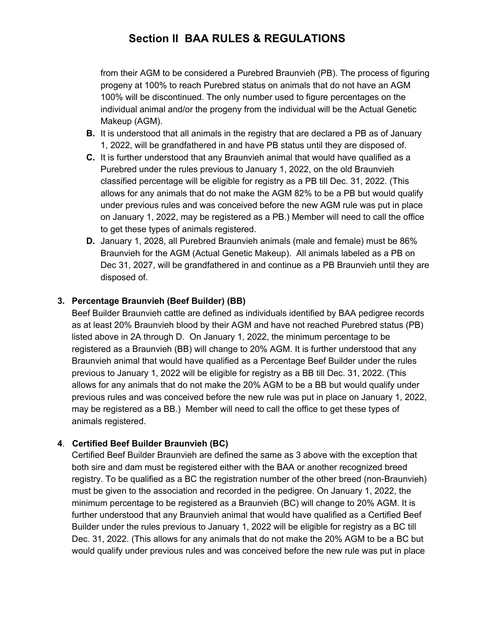## **Section II BAA RULES & REGULATIONS**

from their AGM to be considered a Purebred Braunvieh (PB). The process of figuring progeny at 100% to reach Purebred status on animals that do not have an AGM 100% will be discontinued. The only number used to figure percentages on the individual animal and/or the progeny from the individual will be the Actual Genetic Makeup (AGM).

- **B.** It is understood that all animals in the registry that are declared a PB as of January 1, 2022, will be grandfathered in and have PB status until they are disposed of.
- **C.** It is further understood that any Braunvieh animal that would have qualified as a Purebred under the rules previous to January 1, 2022, on the old Braunvieh classified percentage will be eligible for registry as a PB till Dec. 31, 2022. (This allows for any animals that do not make the AGM 82% to be a PB but would qualify under previous rules and was conceived before the new AGM rule was put in place on January 1, 2022, may be registered as a PB.) Member will need to call the office to get these types of animals registered.
- **D.** January 1, 2028, all Purebred Braunvieh animals (male and female) must be 86% Braunvieh for the AGM (Actual Genetic Makeup). All animals labeled as a PB on Dec 31, 2027, will be grandfathered in and continue as a PB Braunvieh until they are disposed of.

## **3. Percentage Braunvieh (Beef Builder) (BB)**

Beef Builder Braunvieh cattle are defined as individuals identified by BAA pedigree records as at least 20% Braunvieh blood by their AGM and have not reached Purebred status (PB) listed above in 2A through D. On January 1, 2022, the minimum percentage to be registered as a Braunvieh (BB) will change to 20% AGM. It is further understood that any Braunvieh animal that would have qualified as a Percentage Beef Builder under the rules previous to January 1, 2022 will be eligible for registry as a BB till Dec. 31, 2022. (This allows for any animals that do not make the 20% AGM to be a BB but would qualify under previous rules and was conceived before the new rule was put in place on January 1, 2022, may be registered as a BB.) Member will need to call the office to get these types of animals registered.

## **4**. **Certified Beef Builder Braunvieh (BC)**

Certified Beef Builder Braunvieh are defined the same as 3 above with the exception that both sire and dam must be registered either with the BAA or another recognized breed registry. To be qualified as a BC the registration number of the other breed (non-Braunvieh) must be given to the association and recorded in the pedigree. On January 1, 2022, the minimum percentage to be registered as a Braunvieh (BC) will change to 20% AGM. It is further understood that any Braunvieh animal that would have qualified as a Certified Beef Builder under the rules previous to January 1, 2022 will be eligible for registry as a BC till Dec. 31, 2022. (This allows for any animals that do not make the 20% AGM to be a BC but would qualify under previous rules and was conceived before the new rule was put in place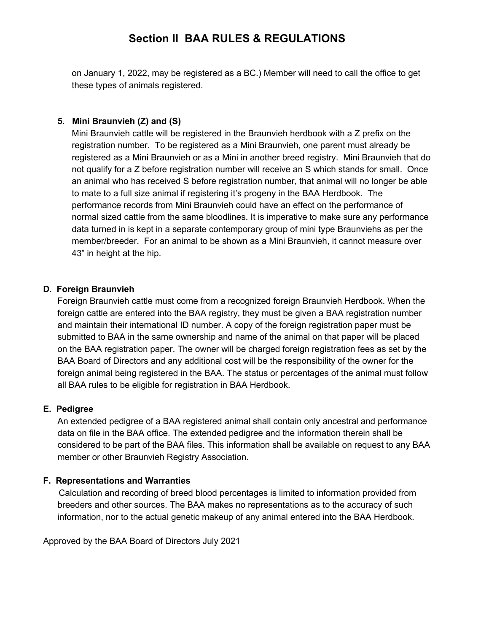## **Section II BAA RULES & REGULATIONS**

on January 1, 2022, may be registered as a BC.) Member will need to call the office to get these types of animals registered.

### **5. Mini Braunvieh (Z) and (S)**

Mini Braunvieh cattle will be registered in the Braunvieh herdbook with a Z prefix on the registration number. To be registered as a Mini Braunvieh, one parent must already be registered as a Mini Braunvieh or as a Mini in another breed registry. Mini Braunvieh that do not qualify for a Z before registration number will receive an S which stands for small. Once an animal who has received S before registration number, that animal will no longer be able to mate to a full size animal if registering it's progeny in the BAA Herdbook. The performance records from Mini Braunvieh could have an effect on the performance of normal sized cattle from the same bloodlines. It is imperative to make sure any performance data turned in is kept in a separate contemporary group of mini type Braunviehs as per the member/breeder. For an animal to be shown as a Mini Braunvieh, it cannot measure over 43" in height at the hip.

### **D**. **Foreign Braunvieh**

Foreign Braunvieh cattle must come from a recognized foreign Braunvieh Herdbook. When the foreign cattle are entered into the BAA registry, they must be given a BAA registration number and maintain their international ID number. A copy of the foreign registration paper must be submitted to BAA in the same ownership and name of the animal on that paper will be placed on the BAA registration paper. The owner will be charged foreign registration fees as set by the BAA Board of Directors and any additional cost will be the responsibility of the owner for the foreign animal being registered in the BAA. The status or percentages of the animal must follow all BAA rules to be eligible for registration in BAA Herdbook.

### **E. Pedigree**

An extended pedigree of a BAA registered animal shall contain only ancestral and performance data on file in the BAA office. The extended pedigree and the information therein shall be considered to be part of the BAA files. This information shall be available on request to any BAA member or other Braunvieh Registry Association.

### **F. Representations and Warranties**

Calculation and recording of breed blood percentages is limited to information provided from breeders and other sources. The BAA makes no representations as to the accuracy of such information, nor to the actual genetic makeup of any animal entered into the BAA Herdbook.

Approved by the BAA Board of Directors July 2021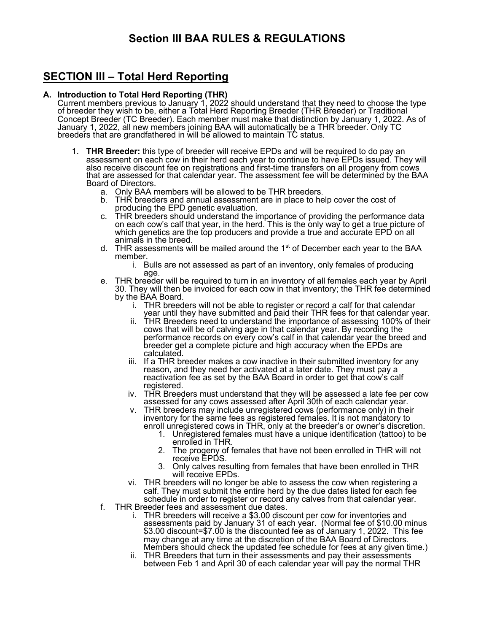## **Section III BAA RULES & REGULATIONS**

## **SECTION III – Total Herd Reporting**

#### **A. Introduction to Total Herd Reporting (THR)**

Current members previous to January 1, 2022 should understand that they need to choose the type of breeder they wish to be, either a Total Herd Reporting Breeder (THR Breeder) or Traditional Concept Breeder (TC Breeder). Each member must make that distinction by January 1, 2022. As of January 1, 2022, all new members joining BAA will automatically be a THR breeder. Only TC breeders that are grandfathered in will be allowed to maintain TC status.

- 1. **THR Breeder:** this type of breeder will receive EPDs and will be required to do pay an assessment on each cow in their herd each year to continue to have EPDs issued. They will also receive discount fee on registrations and first-time transfers on all progeny from cows that are assessed for that calendar year. The assessment fee will be determined by the BAA Board of Directors.
	- a. Only BAA members will be allowed to be THR breeders.
	- b. THR breeders and annual assessment are in place to help cover the cost of producing the EPD genetic evaluation.
	- c. THR breeders should understand the importance of providing the performance data on each cow's calf that year, in the herd. This is the only way to get a true picture of which genetics are the top producers and provide a true and accurate EPD on all animals in the breed.
	- d. THR assessments will be mailed around the  $1<sup>st</sup>$  of December each year to the BAA member.
		- i. Bulls are not assessed as part of an inventory, only females of producing age.
	- e. THR breeder will be required to turn in an inventory of all females each year by April 30. They will then be invoiced for each cow in that inventory; the THR fee determined by the BAA Board.
		- i. THR breeders will not be able to register or record a calf for that calendar year until they have submitted and paid their THR fees for that calendar year.
		- ii. THR Breeders need to understand the importance of assessing 100% of their cows that will be of calving age in that calendar year. By recording the performance records on every cow's calf in that calendar year the breed and breeder get a complete picture and high accuracy when the EPDs are calculated.
		- iii. If a THR breeder makes a cow inactive in their submitted inventory for any reason, and they need her activated at a later date. They must pay a reactivation fee as set by the BAA Board in order to get that cow's calf registered.
		- iv. THR Breeders must understand that they will be assessed a late fee per cow assessed for any cows assessed after April 30th of each calendar year.
		- v. THR breeders may include unregistered cows (performance only) in their inventory for the same fees as registered females. It is not mandatory to enroll unregistered cows in THR, only at the breeder's or owner's discretion.
			- 1. Unregistered females must have a unique identification (tattoo) to be enrolled in THR.
			- 2. The progeny of females that have not been enrolled in THR will not receive EPDS.
			- 3. Only calves resulting from females that have been enrolled in THR will receive EPDs.
		- vi. THR breeders will no longer be able to assess the cow when registering a calf. They must submit the entire herd by the due dates listed for each fee schedule in order to register or record any calves from that calendar year.
	- f. THR Breeder fees and assessment due dates.
		- i. THR breeders will receive a \$3.00 discount per cow for inventories and assessments paid by January 31 of each year. (Normal fee of \$10.00 minus \$3.00 discount=\$7.00 is the discounted fee as of January 1, 2022. This fee may change at any time at the discretion of the BAA Board of Directors. Members should check the updated fee schedule for fees at any given time.)
		- ii. THR Breeders that turn in their assessments and pay their assessments between Feb 1 and April 30 of each calendar year will pay the normal THR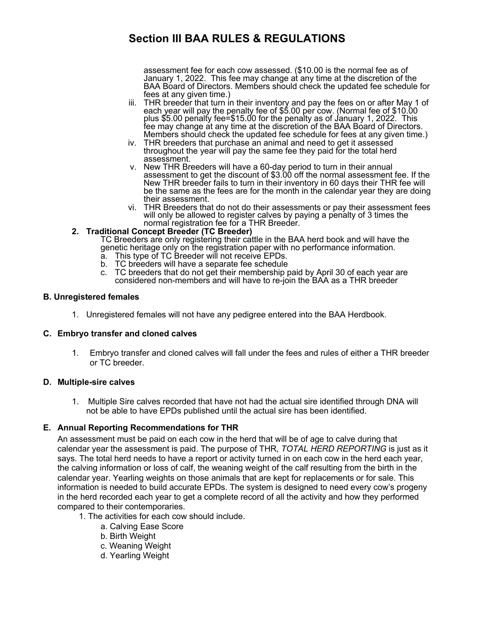## **Section III BAA RULES & REGULATIONS**

assessment fee for each cow assessed. (\$10.00 is the normal fee as of January 1, 2022. This fee may change at any time at the discretion of the BAA Board of Directors. Members should check the updated fee schedule for fees at any given time.)

- iii. THR breeder that turn in their inventory and pay the fees on or after May 1 of each year will pay the penalty fee of \$5.00 per cow. (Normal fee of \$10.00 plus \$5.00 penalty fee=\$15.00 for the penalty as of January 1, 2022. This fee may change at any time at the discretion of the BAA Board of Directors.<br>Members should check the updated fee schedule for fees at any given time.)
- iv. THR breeders that purchase an animal and need to get it assessed throughout the year will pay the same fee they paid for the total herd assessment.
- v. New THR Breeders will have a 60-day period to turn in their annual assessment to get the discount of \$3.00 off the normal assessment fee. If the New THR breeder fails to turn in their inventory in 60 days their THR fee will be the same as the fees are for the month in the calendar year they are doing their assessment.
- vi. THR Breeders that do not do their assessments or pay their assessment fees will only be allowed to register calves by paying a penalty of 3 times the

# normal registration fee for a THR Breeder. **2. Traditional Concept Breeder (TC Breeder)**

TC Breeders are only registering their cattle in the BAA herd book and will have the genetic heritage only on the registration paper with no performance information.

- a. This type of TC Breeder will not receive EPDs.
- b. TC breeders will have a separate fee schedule
- c. TC breeders that do not get their membership paid by April 30 of each year are considered non-members and will have to re-join the BAA as a THR breeder

#### **B. Unregistered females**

1. Unregistered females will not have any pedigree entered into the BAA Herdbook.

#### **C. Embryo transfer and cloned calves**

1. Embryo transfer and cloned calves will fall under the fees and rules of either a THR breeder or TC breeder.

#### **D. Multiple-sire calves**

1. Multiple Sire calves recorded that have not had the actual sire identified through DNA will not be able to have EPDs published until the actual sire has been identified.

#### **E. Annual Reporting Recommendations for THR**

An assessment must be paid on each cow in the herd that will be of age to calve during that calendar year the assessment is paid. The purpose of THR, *TOTAL HERD REPORTING* is just as it says. The total herd needs to have a report or activity turned in on each cow in the herd each year, the calving information or loss of calf, the weaning weight of the calf resulting from the birth in the calendar year. Yearling weights on those animals that are kept for replacements or for sale. This information is needed to build accurate EPDs. The system is designed to need every cow's progeny in the herd recorded each year to get a complete record of all the activity and how they performed compared to their contemporaries.

- 1. The activities for each cow should include.
	- a. Calving Ease Score
	- b. Birth Weight
	- c. Weaning Weight
	- d. Yearling Weight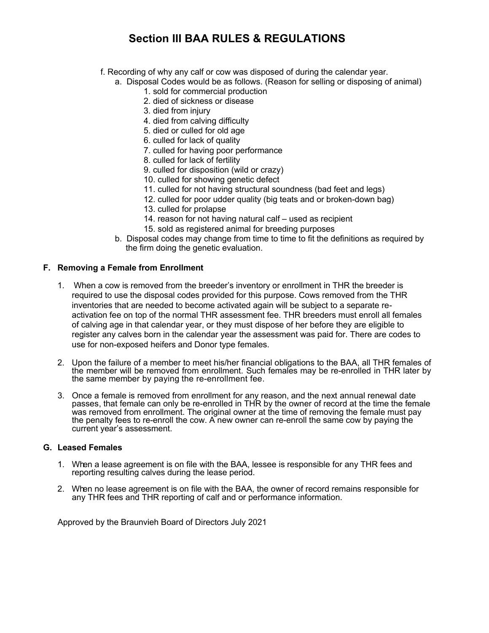## **Section III BAA RULES & REGULATIONS**

- f. Recording of why any calf or cow was disposed of during the calendar year.
	- a. Disposal Codes would be as follows. (Reason for selling or disposing of animal)
		- 1. sold for commercial production
		- 2. died of sickness or disease
		- 3. died from injury
		- 4. died from calving difficulty
		- 5. died or culled for old age
		- 6. culled for lack of quality
		- 7. culled for having poor performance
		- 8. culled for lack of fertility
		- 9. culled for disposition (wild or crazy)
		- 10. culled for showing genetic defect
		- 11. culled for not having structural soundness (bad feet and legs)
		- 12. culled for poor udder quality (big teats and or broken-down bag)
		- 13. culled for prolapse
		- 14. reason for not having natural calf used as recipient
		- 15. sold as registered animal for breeding purposes
	- b. Disposal codes may change from time to time to fit the definitions as required by the firm doing the genetic evaluation.

#### **F. Removing a Female from Enrollment**

- 1. When a cow is removed from the breeder's inventory or enrollment in THR the breeder is required to use the disposal codes provided for this purpose. Cows removed from the THR inventories that are needed to become activated again will be subject to a separate reactivation fee on top of the normal THR assessment fee. THR breeders must enroll all females of calving age in that calendar year, or they must dispose of her before they are eligible to register any calves born in the calendar year the assessment was paid for. There are codes to use for non-exposed heifers and Donor type females.
- 2. Upon the failure of a member to meet his/her financial obligations to the BAA, all THR females of the member will be removed from enrollment. Such females may be re-enrolled in THR later by the same member by paying the re-enrollment fee.
- 3. Once a female is removed from enrollment for any reason, and the next annual renewal date passes, that female can only be re-enrolled in THR by the owner of record at the time the female was removed from enrollment. The original owner at the time of removing the female must pay the penalty fees to re-enroll the cow. A new owner can re-enroll the same cow by paying the current year's assessment.

### **G. Leased Females**

- 1. When a lease agreement is on file with the BAA, lessee is responsible for any THR fees and reporting resulting calves during the lease period.
- 2. When no lease agreement is on file with the BAA, the owner of record remains responsible for any THR fees and THR reporting of calf and or performance information.

Approved by the Braunvieh Board of Directors July 2021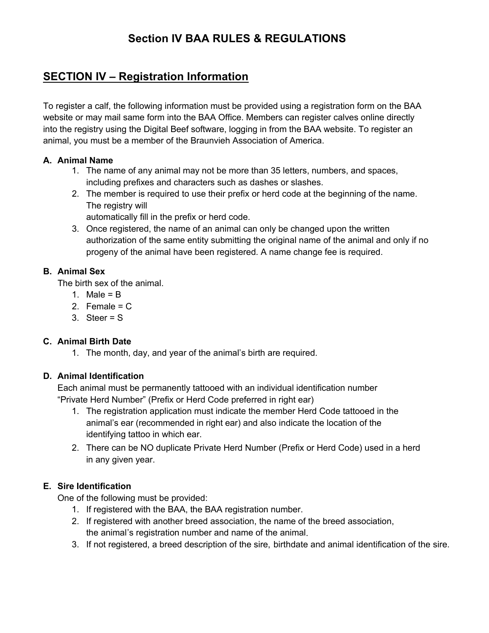## **Section IV BAA RULES & REGULATIONS**

## **SECTION IV – Registration Information**

To register a calf, the following information must be provided using a registration form on the BAA website or may mail same form into the BAA Office. Members can register calves online directly into the registry using the Digital Beef software, logging in from the BAA website. To register an animal, you must be a member of the Braunvieh Association of America.

### **A. Animal Name**

- 1. The name of any animal may not be more than 35 letters, numbers, and spaces, including prefixes and characters such as dashes or slashes.
- 2. The member is required to use their prefix or herd code at the beginning of the name. The registry will

automatically fill in the prefix or herd code.

3. Once registered, the name of an animal can only be changed upon the written authorization of the same entity submitting the original name of the animal and only if no progeny of the animal have been registered. A name change fee is required.

## **B. Animal Sex**

The birth sex of the animal.

- 1. Male =  $B$
- 2. Female =  $C$
- 3. Steer = S

## **C. Animal Birth Date**

1. The month, day, and year of the animal's birth are required.

## **D. Animal Identification**

Each animal must be permanently tattooed with an individual identification number "Private Herd Number" (Prefix or Herd Code preferred in right ear)

- 1. The registration application must indicate the member Herd Code tattooed in the animal's ear (recommended in right ear) and also indicate the location of the identifying tattoo in which ear.
- 2. There can be NO duplicate Private Herd Number (Prefix or Herd Code) used in a herd in any given year.

## **E. Sire Identification**

One of the following must be provided:

- 1. If registered with the BAA, the BAA registration number.
- 2. If registered with another breed association, the name of the breed association, the animal's registration number and name of the animal.
- 3. If not registered, a breed description of the sire, birthdate and animal identification of the sire.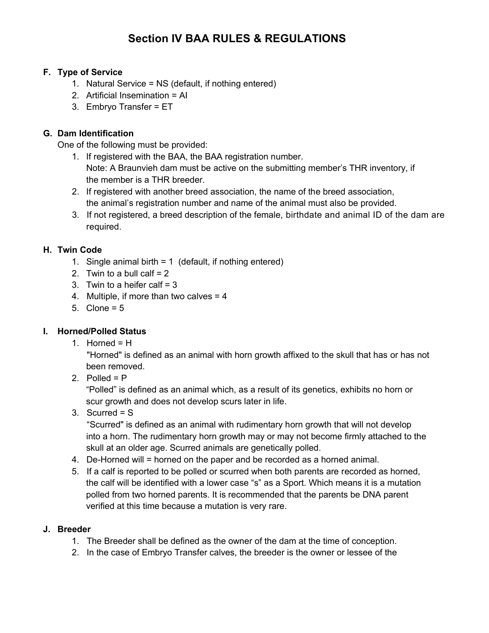## **Section IV BAA RULES & REGULATIONS**

### **F. Type of Service**

- 1. Natural Service = NS (default, if nothing entered)
- 2. Artificial Insemination = AI
- 3. Embryo Transfer = ET

## **G. Dam Identification**

One of the following must be provided:

- 1. If registered with the BAA, the BAA registration number. Note: A Braunvieh dam must be active on the submitting member's THR inventory, if the member is a THR breeder.
- 2. If registered with another breed association, the name of the breed association, the animal's registration number and name of the animal must also be provided.
- 3. If not registered, a breed description of the female, birthdate and animal ID of the dam are required.

## **H. Twin Code**

- 1. Single animal birth  $= 1$  (default, if nothing entered)
- 2. Twin to a bull calf  $= 2$
- 3. Twin to a heifer calf  $= 3$
- 4. Multiple, if more than two calves = 4
- 5. Clone =  $5$

## **I. Horned/Polled Status**

1. Horned =  $H$ 

"Horned" is defined as an animal with horn growth affixed to the skull that has or has not been removed.

2. Polled  $= P$ 

"Polled" is defined as an animal which, as a result of its genetics, exhibits no horn or scur growth and does not develop scurs later in life.

3. Scurred = S

"Scurred" is defined as an animal with rudimentary horn growth that will not develop into a horn. The rudimentary horn growth may or may not become firmly attached to the skull at an older age. Scurred animals are genetically polled.

- 4. De-Horned will = horned on the paper and be recorded as a horned animal.
- 5. If a calf is reported to be polled or scurred when both parents are recorded as horned, the calf will be identified with a lower case "s" as a Sport. Which means it is a mutation polled from two horned parents. It is recommended that the parents be DNA parent verified at this time because a mutation is very rare.

## **J. Breeder**

- 1. The Breeder shall be defined as the owner of the dam at the time of conception.
- 2. In the case of Embryo Transfer calves, the breeder is the owner or lessee of the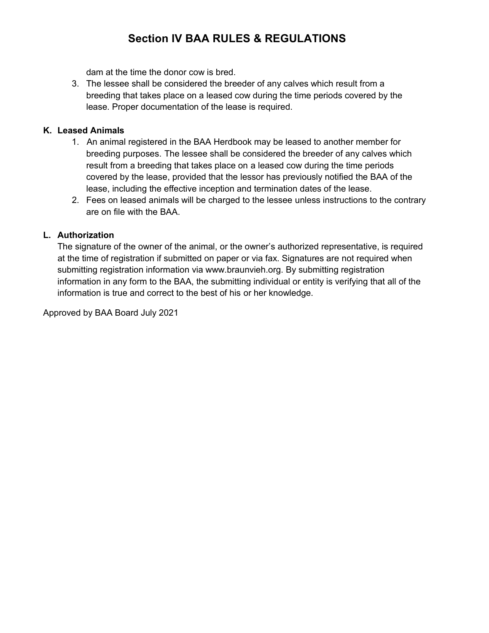## **Section IV BAA RULES & REGULATIONS**

dam at the time the donor cow is bred.

3. The lessee shall be considered the breeder of any calves which result from a breeding that takes place on a leased cow during the time periods covered by the lease. Proper documentation of the lease is required.

### **K. Leased Animals**

- 1. An animal registered in the BAA Herdbook may be leased to another member for breeding purposes. The lessee shall be considered the breeder of any calves which result from a breeding that takes place on a leased cow during the time periods covered by the lease, provided that the lessor has previously notified the BAA of the lease, including the effective inception and termination dates of the lease.
- 2. Fees on leased animals will be charged to the lessee unless instructions to the contrary are on file with the BAA.

### **L. Authorization**

The signature of the owner of the animal, or the owner's authorized representative, is required at the time of registration if submitted on paper or via fax. Signatures are not required when submitting registration information via www.braunvieh.org. By submitting registration information in any form to the BAA, the submitting individual or entity is verifying that all of the information is true and correct to the best of his or her knowledge.

Approved by BAA Board July 2021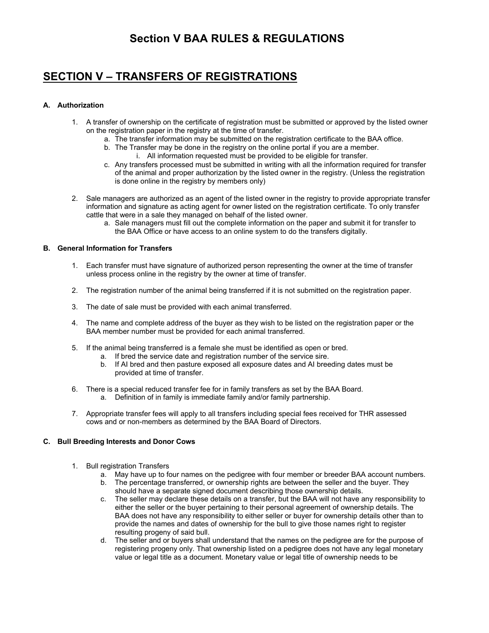## **Section V BAA RULES & REGULATIONS**

## **SECTION V – TRANSFERS OF REGISTRATIONS**

#### **A. Authorization**

- 1. A transfer of ownership on the certificate of registration must be submitted or approved by the listed owner on the registration paper in the registry at the time of transfer.
	- a. The transfer information may be submitted on the registration certificate to the BAA office.
	- b. The Transfer may be done in the registry on the online portal if you are a member. i. All information requested must be provided to be eligible for transfer.
	- c. Any transfers processed must be submitted in writing with all the information required for transfer of the animal and proper authorization by the listed owner in the registry. (Unless the registration is done online in the registry by members only)
- 2. Sale managers are authorized as an agent of the listed owner in the registry to provide appropriate transfer information and signature as acting agent for owner listed on the registration certificate. To only transfer cattle that were in a sale they managed on behalf of the listed owner.
	- a. Sale managers must fill out the complete information on the paper and submit it for transfer to the BAA Office or have access to an online system to do the transfers digitally.

#### **B. General Information for Transfers**

- 1. Each transfer must have signature of authorized person representing the owner at the time of transfer unless process online in the registry by the owner at time of transfer.
- 2. The registration number of the animal being transferred if it is not submitted on the registration paper.
- 3. The date of sale must be provided with each animal transferred.
- 4. The name and complete address of the buyer as they wish to be listed on the registration paper or the BAA member number must be provided for each animal transferred.
- 5. If the animal being transferred is a female she must be identified as open or bred.
	- a. If bred the service date and registration number of the service sire.
	- b. If AI bred and then pasture exposed all exposure dates and AI breeding dates must be provided at time of transfer.
- 6. There is a special reduced transfer fee for in family transfers as set by the BAA Board.
	- a. Definition of in family is immediate family and/or family partnership.
- 7. Appropriate transfer fees will apply to all transfers including special fees received for THR assessed cows and or non-members as determined by the BAA Board of Directors.

#### **C. Bull Breeding Interests and Donor Cows**

- 1. Bull registration Transfers
	- a. May have up to four names on the pedigree with four member or breeder BAA account numbers.
	- b. The percentage transferred, or ownership rights are between the seller and the buyer. They should have a separate signed document describing those ownership details.
	- c. The seller may declare these details on a transfer, but the BAA will not have any responsibility to either the seller or the buyer pertaining to their personal agreement of ownership details. The BAA does not have any responsibility to either seller or buyer for ownership details other than to provide the names and dates of ownership for the bull to give those names right to register resulting progeny of said bull.
	- d. The seller and or buyers shall understand that the names on the pedigree are for the purpose of registering progeny only. That ownership listed on a pedigree does not have any legal monetary value or legal title as a document. Monetary value or legal title of ownership needs to be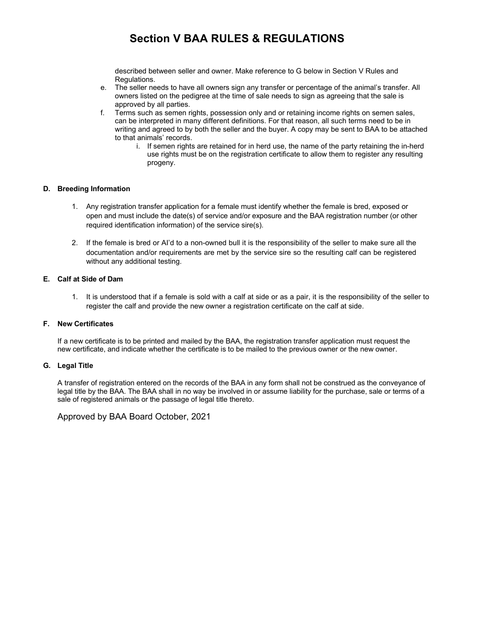## **Section V BAA RULES & REGULATIONS**

described between seller and owner. Make reference to G below in Section V Rules and Regulations.

- e. The seller needs to have all owners sign any transfer or percentage of the animal's transfer. All owners listed on the pedigree at the time of sale needs to sign as agreeing that the sale is approved by all parties.
- f. Terms such as semen rights, possession only and or retaining income rights on semen sales, can be interpreted in many different definitions. For that reason, all such terms need to be in writing and agreed to by both the seller and the buyer. A copy may be sent to BAA to be attached to that animals' records.
	- i. If semen rights are retained for in herd use, the name of the party retaining the in-herd use rights must be on the registration certificate to allow them to register any resulting progeny.

#### **D. Breeding Information**

- 1. Any registration transfer application for a female must identify whether the female is bred, exposed or open and must include the date(s) of service and/or exposure and the BAA registration number (or other required identification information) of the service sire(s).
- 2. If the female is bred or AI'd to a non-owned bull it is the responsibility of the seller to make sure all the documentation and/or requirements are met by the service sire so the resulting calf can be registered without any additional testing.

#### **E. Calf at Side of Dam**

1. It is understood that if a female is sold with a calf at side or as a pair, it is the responsibility of the seller to register the calf and provide the new owner a registration certificate on the calf at side.

#### **F. New Certificates**

If a new certificate is to be printed and mailed by the BAA, the registration transfer application must request the new certificate, and indicate whether the certificate is to be mailed to the previous owner or the new owner.

#### **G. Legal Title**

A transfer of registration entered on the records of the BAA in any form shall not be construed as the conveyance of legal title by the BAA. The BAA shall in no way be involved in or assume liability for the purchase, sale or terms of a sale of registered animals or the passage of legal title thereto.

#### Approved by BAA Board October, 2021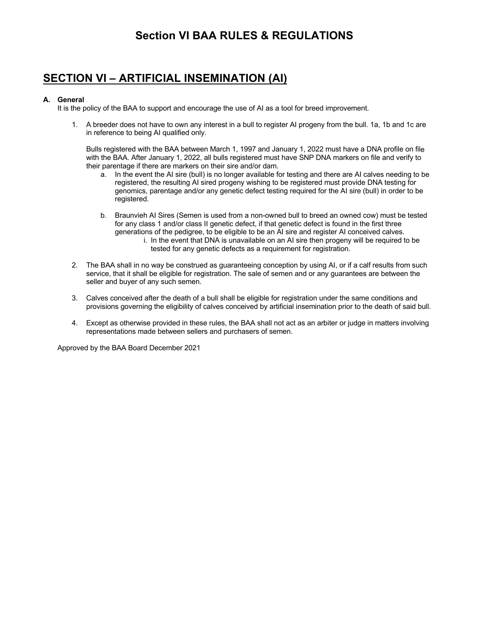## **Section VI BAA RULES & REGULATIONS**

## **SECTION VI – ARTIFICIAL INSEMINATION (AI)**

#### **A. General**

It is the policy of the BAA to support and encourage the use of AI as a tool for breed improvement.

1. A breeder does not have to own any interest in a bull to register AI progeny from the bull. 1a, 1b and 1c are in reference to being AI qualified only.

Bulls registered with the BAA between March 1, 1997 and January 1, 2022 must have a DNA profile on file with the BAA. After January 1, 2022, all bulls registered must have SNP DNA markers on file and verify to their parentage if there are markers on their sire and/or dam.

- a. In the event the AI sire (bull) is no longer available for testing and there are AI calves needing to be registered, the resulting AI sired progeny wishing to be registered must provide DNA testing for genomics, parentage and/or any genetic defect testing required for the AI sire (bull) in order to be registered.
- b. Braunvieh AI Sires (Semen is used from a non-owned bull to breed an owned cow) must be tested for any class 1 and/or class II genetic defect, if that genetic defect is found in the first three generations of the pedigree, to be eligible to be an AI sire and register AI conceived calves. i. In the event that DNA is unavailable on an AI sire then progeny will be required to be tested for any genetic defects as a requirement for registration.
- 2. The BAA shall in no way be construed as guaranteeing conception by using AI, or if a calf results from such service, that it shall be eligible for registration. The sale of semen and or any guarantees are between the seller and buyer of any such semen.
- 3. Calves conceived after the death of a bull shall be eligible for registration under the same conditions and provisions governing the eligibility of calves conceived by artificial insemination prior to the death of said bull.
- 4. Except as otherwise provided in these rules, the BAA shall not act as an arbiter or judge in matters involving representations made between sellers and purchasers of semen.

Approved by the BAA Board December 2021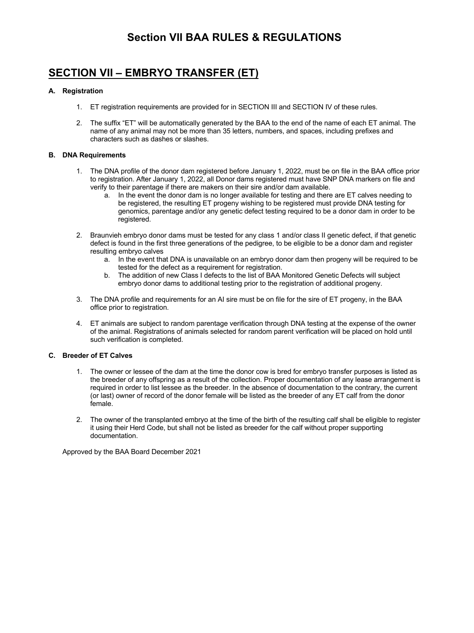## **Section VII BAA RULES & REGULATIONS**

## **SECTION VII – EMBRYO TRANSFER (ET)**

#### **A. Registration**

- 1. ET registration requirements are provided for in SECTION III and SECTION IV of these rules.
- 2. The suffix "ET" will be automatically generated by the BAA to the end of the name of each ET animal. The name of any animal may not be more than 35 letters, numbers, and spaces, including prefixes and characters such as dashes or slashes.

#### **B. DNA Requirements**

- 1. The DNA profile of the donor dam registered before January 1, 2022, must be on file in the BAA office prior to registration. After January 1, 2022, all Donor dams registered must have SNP DNA markers on file and verify to their parentage if there are makers on their sire and/or dam available.
	- a. In the event the donor dam is no longer available for testing and there are ET calves needing to be registered, the resulting ET progeny wishing to be registered must provide DNA testing for genomics, parentage and/or any genetic defect testing required to be a donor dam in order to be registered.
- 2. Braunvieh embryo donor dams must be tested for any class 1 and/or class II genetic defect, if that genetic defect is found in the first three generations of the pedigree, to be eligible to be a donor dam and register resulting embryo calves
	- a. In the event that DNA is unavailable on an embryo donor dam then progeny will be required to be tested for the defect as a requirement for registration.
	- b. The addition of new Class I defects to the list of BAA Monitored Genetic Defects will subject embryo donor dams to additional testing prior to the registration of additional progeny.
- 3. The DNA profile and requirements for an AI sire must be on file for the sire of ET progeny, in the BAA office prior to registration.
- 4. ET animals are subject to random parentage verification through DNA testing at the expense of the owner of the animal. Registrations of animals selected for random parent verification will be placed on hold until such verification is completed.

#### **C. Breeder of ET Calves**

- 1. The owner or lessee of the dam at the time the donor cow is bred for embryo transfer purposes is listed as the breeder of any offspring as a result of the collection. Proper documentation of any lease arrangement is required in order to list lessee as the breeder. In the absence of documentation to the contrary, the current (or last) owner of record of the donor female will be listed as the breeder of any ET calf from the donor female.
- 2. The owner of the transplanted embryo at the time of the birth of the resulting calf shall be eligible to register it using their Herd Code, but shall not be listed as breeder for the calf without proper supporting documentation.

Approved by the BAA Board December 2021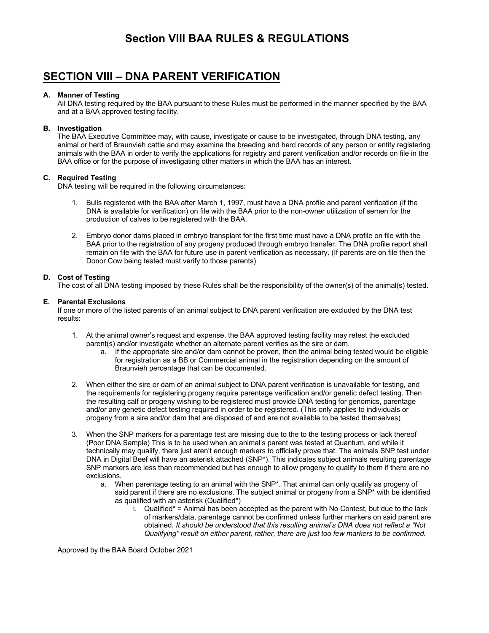## **Section VIII BAA RULES & REGULATIONS**

## **SECTION VIII – DNA PARENT VERIFICATION**

#### **A. Manner of Testing**

All DNA testing required by the BAA pursuant to these Rules must be performed in the manner specified by the BAA and at a BAA approved testing facility.

#### **B. Investigation**

The BAA Executive Committee may, with cause, investigate or cause to be investigated, through DNA testing, any animal or herd of Braunvieh cattle and may examine the breeding and herd records of any person or entity registering animals with the BAA in order to verify the applications for registry and parent verification and/or records on file in the BAA office or for the purpose of investigating other matters in which the BAA has an interest.

#### **C. Required Testing**

DNA testing will be required in the following circumstances:

- 1. Bulls registered with the BAA after March 1, 1997, must have a DNA profile and parent verification (if the DNA is available for verification) on file with the BAA prior to the non-owner utilization of semen for the production of calves to be registered with the BAA.
- 2. Embryo donor dams placed in embryo transplant for the first time must have a DNA profile on file with the BAA prior to the registration of any progeny produced through embryo transfer. The DNA profile report shall remain on file with the BAA for future use in parent verification as necessary. (If parents are on file then the Donor Cow being tested must verify to those parents)

#### **D. Cost of Testing**

The cost of all DNA testing imposed by these Rules shall be the responsibility of the owner(s) of the animal(s) tested.

#### **E. Parental Exclusions**

If one or more of the listed parents of an animal subject to DNA parent verification are excluded by the DNA test results:

- 1. At the animal owner's request and expense, the BAA approved testing facility may retest the excluded parent(s) and/or investigate whether an alternate parent verifies as the sire or dam.
	- a. If the appropriate sire and/or dam cannot be proven, then the animal being tested would be eligible for registration as a BB or Commercial animal in the registration depending on the amount of Braunvieh percentage that can be documented.
- 2. When either the sire or dam of an animal subject to DNA parent verification is unavailable for testing, and the requirements for registering progeny require parentage verification and/or genetic defect testing. Then the resulting calf or progeny wishing to be registered must provide DNA testing for genomics, parentage and/or any genetic defect testing required in order to be registered. (This only applies to individuals or progeny from a sire and/or dam that are disposed of and are not available to be tested themselves)
- 3. When the SNP markers for a parentage test are missing due to the to the testing process or lack thereof (Poor DNA Sample) This is to be used when an animal's parent was tested at Quantum, and while it technically may qualify, there just aren't enough markers to officially prove that. The animals SNP test under DNA in Digital Beef will have an asterisk attached (SNP\*). This indicates subject animals resulting parentage SNP markers are less than recommended but has enough to allow progeny to qualify to them if there are no exclusions.
	- a. When parentage testing to an animal with the SNP<sup>\*</sup>. That animal can only qualify as progeny of said parent if there are no exclusions. The subject animal or progeny from a SNP\* with be identified as qualified with an asterisk (Qualified\*)
		- i. Qualified\* = Animal has been accepted as the parent with No Contest, but due to the lack of markers/data, parentage cannot be confirmed unless further markers on said parent are obtained. *It should be understood that this resulting animal's DNA does not reflect a "Not Qualifying" result on either parent, rather, there are just too few markers to be confirmed.*

Approved by the BAA Board October 2021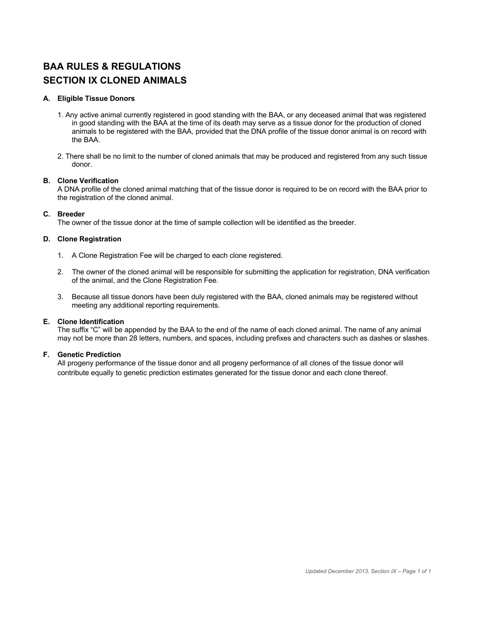## **BAA RULES & REGULATIONS SECTION IX CLONED ANIMALS**

#### **A. Eligible Tissue Donors**

- 1. Any active animal currently registered in good standing with the BAA, or any deceased animal that was registered in good standing with the BAA at the time of its death may serve as a tissue donor for the production of cloned animals to be registered with the BAA, provided that the DNA profile of the tissue donor animal is on record with the BAA.
- 2. There shall be no limit to the number of cloned animals that may be produced and registered from any such tissue donor.

#### **B. Clone Verification**

A DNA profile of the cloned animal matching that of the tissue donor is required to be on record with the BAA prior to the registration of the cloned animal.

#### **C. Breeder**

The owner of the tissue donor at the time of sample collection will be identified as the breeder.

#### **D. Clone Registration**

- 1. A Clone Registration Fee will be charged to each clone registered.
- 2. The owner of the cloned animal will be responsible for submitting the application for registration, DNA verification of the animal, and the Clone Registration Fee.
- 3. Because all tissue donors have been duly registered with the BAA, cloned animals may be registered without meeting any additional reporting requirements.

#### **E. Clone Identification**

The suffix "C" will be appended by the BAA to the end of the name of each cloned animal. The name of any animal may not be more than 28 letters, numbers, and spaces, including prefixes and characters such as dashes or slashes.

#### **F. Genetic Prediction**

All progeny performance of the tissue donor and all progeny performance of all clones of the tissue donor will contribute equally to genetic prediction estimates generated for the tissue donor and each clone thereof.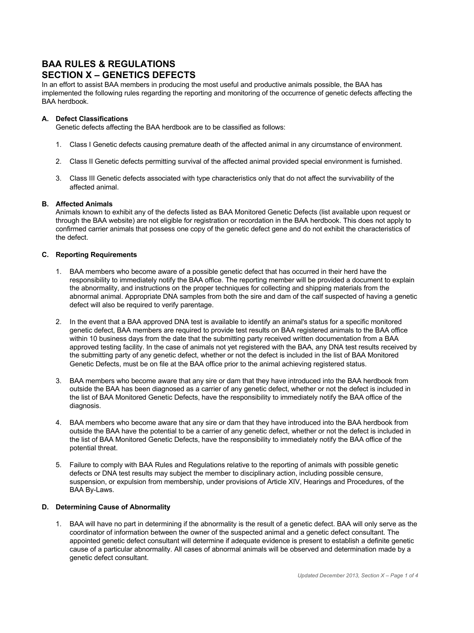## **BAA RULES & REGULATIONS SECTION X – GENETICS DEFECTS**

In an effort to assist BAA members in producing the most useful and productive animals possible, the BAA has implemented the following rules regarding the reporting and monitoring of the occurrence of genetic defects affecting the BAA herdbook.

#### **A. Defect Classifications**

Genetic defects affecting the BAA herdbook are to be classified as follows:

- 1. Class I Genetic defects causing premature death of the affected animal in any circumstance of environment.
- 2. Class II Genetic defects permitting survival of the affected animal provided special environment is furnished.
- 3. Class III Genetic defects associated with type characteristics only that do not affect the survivability of the affected animal.

#### **B. Affected Animals**

Animals known to exhibit any of the defects listed as BAA Monitored Genetic Defects (list available upon request or through the BAA website) are not eligible for registration or recordation in the BAA herdbook. This does not apply to confirmed carrier animals that possess one copy of the genetic defect gene and do not exhibit the characteristics of the defect.

#### **C. Reporting Requirements**

- 1. BAA members who become aware of a possible genetic defect that has occurred in their herd have the responsibility to immediately notify the BAA office. The reporting member will be provided a document to explain the abnormality, and instructions on the proper techniques for collecting and shipping materials from the abnormal animal. Appropriate DNA samples from both the sire and dam of the calf suspected of having a genetic defect will also be required to verify parentage.
- 2. In the event that a BAA approved DNA test is available to identify an animal's status for a specific monitored genetic defect, BAA members are required to provide test results on BAA registered animals to the BAA office within 10 business days from the date that the submitting party received written documentation from a BAA approved testing facility. In the case of animals not yet registered with the BAA, any DNA test results received by the submitting party of any genetic defect, whether or not the defect is included in the list of BAA Monitored Genetic Defects, must be on file at the BAA office prior to the animal achieving registered status.
- 3. BAA members who become aware that any sire or dam that they have introduced into the BAA herdbook from outside the BAA has been diagnosed as a carrier of any genetic defect, whether or not the defect is included in the list of BAA Monitored Genetic Defects, have the responsibility to immediately notify the BAA office of the diagnosis.
- 4. BAA members who become aware that any sire or dam that they have introduced into the BAA herdbook from outside the BAA have the potential to be a carrier of any genetic defect, whether or not the defect is included in the list of BAA Monitored Genetic Defects, have the responsibility to immediately notify the BAA office of the potential threat.
- 5. Failure to comply with BAA Rules and Regulations relative to the reporting of animals with possible genetic defects or DNA test results may subject the member to disciplinary action, including possible censure, suspension, or expulsion from membership, under provisions of Article XIV, Hearings and Procedures, of the BAA By-Laws.

#### **D. Determining Cause of Abnormality**

1. BAA will have no part in determining if the abnormality is the result of a genetic defect. BAA will only serve as the coordinator of information between the owner of the suspected animal and a genetic defect consultant. The appointed genetic defect consultant will determine if adequate evidence is present to establish a definite genetic cause of a particular abnormality. All cases of abnormal animals will be observed and determination made by a genetic defect consultant.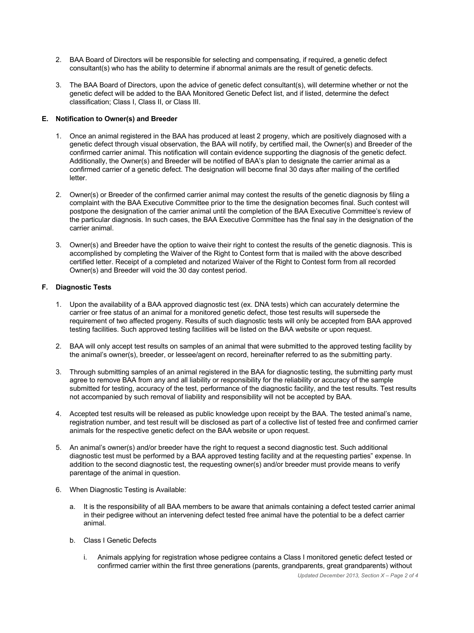- 2. BAA Board of Directors will be responsible for selecting and compensating, if required, a genetic defect consultant(s) who has the ability to determine if abnormal animals are the result of genetic defects.
- 3. The BAA Board of Directors, upon the advice of genetic defect consultant(s), will determine whether or not the genetic defect will be added to the BAA Monitored Genetic Defect list, and if listed, determine the defect classification; Class I, Class II, or Class III.

#### **E. Notification to Owner(s) and Breeder**

- 1. Once an animal registered in the BAA has produced at least 2 progeny, which are positively diagnosed with a genetic defect through visual observation, the BAA will notify, by certified mail, the Owner(s) and Breeder of the confirmed carrier animal. This notification will contain evidence supporting the diagnosis of the genetic defect. Additionally, the Owner(s) and Breeder will be notified of BAA's plan to designate the carrier animal as a confirmed carrier of a genetic defect. The designation will become final 30 days after mailing of the certified letter.
- 2. Owner(s) or Breeder of the confirmed carrier animal may contest the results of the genetic diagnosis by filing a complaint with the BAA Executive Committee prior to the time the designation becomes final. Such contest will postpone the designation of the carrier animal until the completion of the BAA Executive Committee's review of the particular diagnosis. In such cases, the BAA Executive Committee has the final say in the designation of the carrier animal.
- 3. Owner(s) and Breeder have the option to waive their right to contest the results of the genetic diagnosis. This is accomplished by completing the Waiver of the Right to Contest form that is mailed with the above described certified letter. Receipt of a completed and notarized Waiver of the Right to Contest form from all recorded Owner(s) and Breeder will void the 30 day contest period.

#### **F. Diagnostic Tests**

- 1. Upon the availability of a BAA approved diagnostic test (ex. DNA tests) which can accurately determine the carrier or free status of an animal for a monitored genetic defect, those test results will supersede the requirement of two affected progeny. Results of such diagnostic tests will only be accepted from BAA approved testing facilities. Such approved testing facilities will be listed on the BAA website or upon request.
- 2. BAA will only accept test results on samples of an animal that were submitted to the approved testing facility by the animal's owner(s), breeder, or lessee/agent on record, hereinafter referred to as the submitting party.
- 3. Through submitting samples of an animal registered in the BAA for diagnostic testing, the submitting party must agree to remove BAA from any and all liability or responsibility for the reliability or accuracy of the sample submitted for testing, accuracy of the test, performance of the diagnostic facility, and the test results. Test results not accompanied by such removal of liability and responsibility will not be accepted by BAA.
- 4. Accepted test results will be released as public knowledge upon receipt by the BAA. The tested animal's name, registration number, and test result will be disclosed as part of a collective list of tested free and confirmed carrier animals for the respective genetic defect on the BAA website or upon request.
- 5. An animal's owner(s) and/or breeder have the right to request a second diagnostic test. Such additional diagnostic test must be performed by a BAA approved testing facility and at the requesting parties" expense. In addition to the second diagnostic test, the requesting owner(s) and/or breeder must provide means to verify parentage of the animal in question.
- 6. When Diagnostic Testing is Available:
	- a. It is the responsibility of all BAA members to be aware that animals containing a defect tested carrier animal in their pedigree without an intervening defect tested free animal have the potential to be a defect carrier animal.
	- b. Class I Genetic Defects
		- i. Animals applying for registration whose pedigree contains a Class I monitored genetic defect tested or confirmed carrier within the first three generations (parents, grandparents, great grandparents) without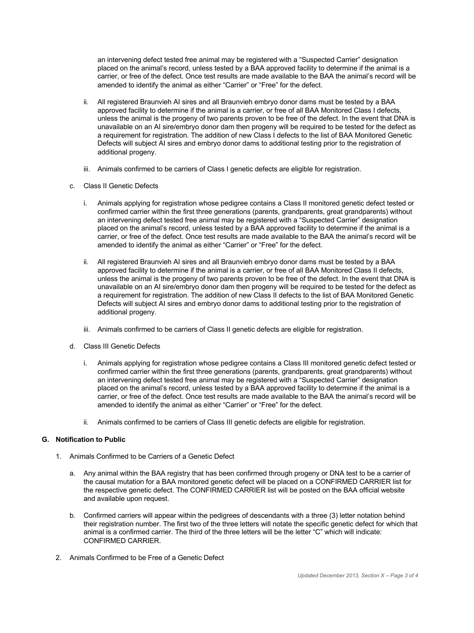an intervening defect tested free animal may be registered with a "Suspected Carrier" designation placed on the animal's record, unless tested by a BAA approved facility to determine if the animal is a carrier, or free of the defect. Once test results are made available to the BAA the animal's record will be amended to identify the animal as either "Carrier" or "Free" for the defect.

- ii. All registered Braunvieh AI sires and all Braunvieh embryo donor dams must be tested by a BAA approved facility to determine if the animal is a carrier, or free of all BAA Monitored Class I defects, unless the animal is the progeny of two parents proven to be free of the defect. In the event that DNA is unavailable on an AI sire/embryo donor dam then progeny will be required to be tested for the defect as a requirement for registration. The addition of new Class I defects to the list of BAA Monitored Genetic Defects will subject AI sires and embryo donor dams to additional testing prior to the registration of additional progeny.
- iii. Animals confirmed to be carriers of Class I genetic defects are eligible for registration.
- c. Class II Genetic Defects
	- i. Animals applying for registration whose pedigree contains a Class II monitored genetic defect tested or confirmed carrier within the first three generations (parents, grandparents, great grandparents) without an intervening defect tested free animal may be registered with a "Suspected Carrier" designation placed on the animal's record, unless tested by a BAA approved facility to determine if the animal is a carrier, or free of the defect. Once test results are made available to the BAA the animal's record will be amended to identify the animal as either "Carrier" or "Free" for the defect.
	- ii. All registered Braunvieh AI sires and all Braunvieh embryo donor dams must be tested by a BAA approved facility to determine if the animal is a carrier, or free of all BAA Monitored Class II defects, unless the animal is the progeny of two parents proven to be free of the defect. In the event that DNA is unavailable on an AI sire/embryo donor dam then progeny will be required to be tested for the defect as a requirement for registration. The addition of new Class II defects to the list of BAA Monitored Genetic Defects will subject AI sires and embryo donor dams to additional testing prior to the registration of additional progeny.
	- iii. Animals confirmed to be carriers of Class II genetic defects are eligible for registration.
- d. Class III Genetic Defects
	- i. Animals applying for registration whose pedigree contains a Class III monitored genetic defect tested or confirmed carrier within the first three generations (parents, grandparents, great grandparents) without an intervening defect tested free animal may be registered with a "Suspected Carrier" designation placed on the animal's record, unless tested by a BAA approved facility to determine if the animal is a carrier, or free of the defect. Once test results are made available to the BAA the animal's record will be amended to identify the animal as either "Carrier" or "Free" for the defect.
	- ii. Animals confirmed to be carriers of Class III genetic defects are eligible for registration.

#### **G. Notification to Public**

- 1. Animals Confirmed to be Carriers of a Genetic Defect
	- a. Any animal within the BAA registry that has been confirmed through progeny or DNA test to be a carrier of the causal mutation for a BAA monitored genetic defect will be placed on a CONFIRMED CARRIER list for the respective genetic defect. The CONFIRMED CARRIER list will be posted on the BAA official website and available upon request.
	- b. Confirmed carriers will appear within the pedigrees of descendants with a three (3) letter notation behind their registration number. The first two of the three letters will notate the specific genetic defect for which that animal is a confirmed carrier. The third of the three letters will be the letter "C" which will indicate: CONFIRMED CARRIER.
- 2. Animals Confirmed to be Free of a Genetic Defect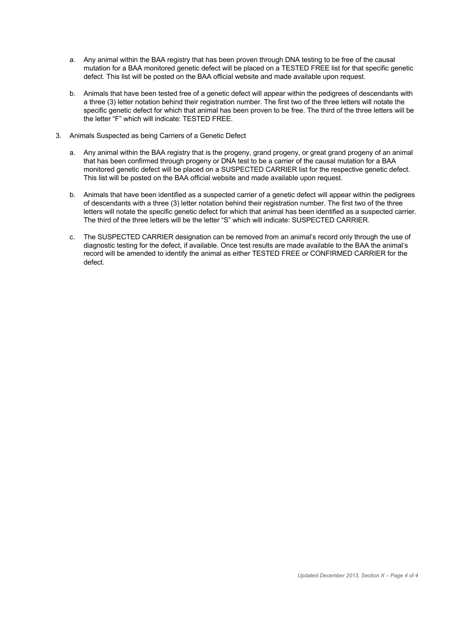- a. Any animal within the BAA registry that has been proven through DNA testing to be free of the causal mutation for a BAA monitored genetic defect will be placed on a TESTED FREE list for that specific genetic defect. This list will be posted on the BAA official website and made available upon request.
- b. Animals that have been tested free of a genetic defect will appear within the pedigrees of descendants with a three (3) letter notation behind their registration number. The first two of the three letters will notate the specific genetic defect for which that animal has been proven to be free. The third of the three letters will be the letter "F" which will indicate: TESTED FREE.
- 3. Animals Suspected as being Carriers of a Genetic Defect
	- a. Any animal within the BAA registry that is the progeny, grand progeny, or great grand progeny of an animal that has been confirmed through progeny or DNA test to be a carrier of the causal mutation for a BAA monitored genetic defect will be placed on a SUSPECTED CARRIER list for the respective genetic defect. This list will be posted on the BAA official website and made available upon request.
	- b. Animals that have been identified as a suspected carrier of a genetic defect will appear within the pedigrees of descendants with a three (3) letter notation behind their registration number. The first two of the three letters will notate the specific genetic defect for which that animal has been identified as a suspected carrier. The third of the three letters will be the letter "S" which will indicate: SUSPECTED CARRIER.
	- c. The SUSPECTED CARRIER designation can be removed from an animal's record only through the use of diagnostic testing for the defect, if available. Once test results are made available to the BAA the animal's record will be amended to identify the animal as either TESTED FREE or CONFIRMED CARRIER for the defect.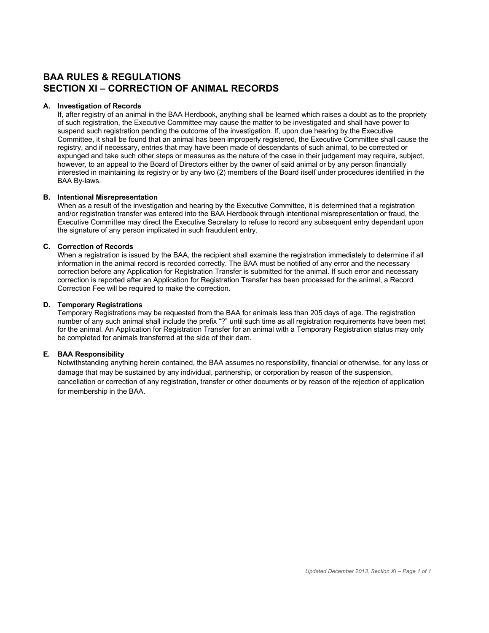## **BAA RULES & REGULATIONS SECTION XI – CORRECTION OF ANIMAL RECORDS**

#### **A. Investigation of Records**

If, after registry of an animal in the BAA Herdbook, anything shall be learned which raises a doubt as to the propriety of such registration, the Executive Committee may cause the matter to be investigated and shall have power to suspend such registration pending the outcome of the investigation. If, upon due hearing by the Executive Committee, it shall be found that an animal has been improperly registered, the Executive Committee shall cause the registry, and if necessary, entries that may have been made of descendants of such animal, to be corrected or expunged and take such other steps or measures as the nature of the case in their judgement may require, subject, however, to an appeal to the Board of Directors either by the owner of said animal or by any person financially interested in maintaining its registry or by any two (2) members of the Board itself under procedures identified in the BAA By-laws.

#### **B. Intentional Misrepresentation**

When as a result of the investigation and hearing by the Executive Committee, it is determined that a registration and/or registration transfer was entered into the BAA Herdbook through intentional misrepresentation or fraud, the Executive Committee may direct the Executive Secretary to refuse to record any subsequent entry dependant upon the signature of any person implicated in such fraudulent entry.

#### **C. Correction of Records**

When a registration is issued by the BAA, the recipient shall examine the registration immediately to determine if all information in the animal record is recorded correctly. The BAA must be notified of any error and the necessary correction before any Application for Registration Transfer is submitted for the animal. If such error and necessary correction is reported after an Application for Registration Transfer has been processed for the animal, a Record Correction Fee will be required to make the correction.

#### **D. Temporary Registrations**

Temporary Registrations may be requested from the BAA for animals less than 205 days of age. The registration number of any such animal shall include the prefix "?" until such time as all registration requirements have been met for the animal. An Application for Registration Transfer for an animal with a Temporary Registration status may only be completed for animals transferred at the side of their dam.

#### **E. BAA Responsibility**

Notwithstanding anything herein contained, the BAA assumes no responsibility, financial or otherwise, for any loss or damage that may be sustained by any individual, partnership, or corporation by reason of the suspension, cancellation or correction of any registration, transfer or other documents or by reason of the rejection of application for membership in the BAA.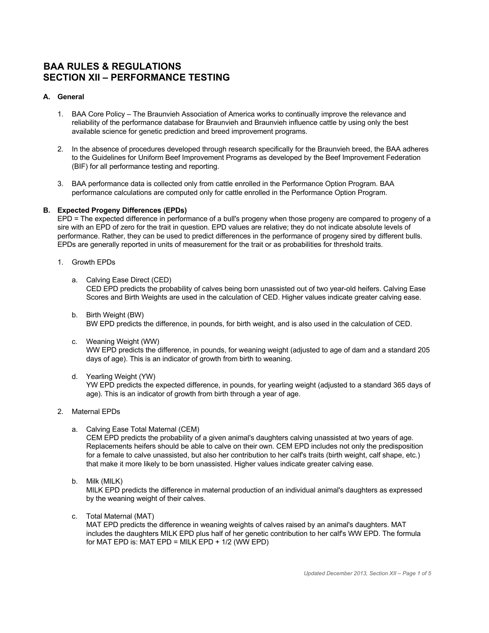## **BAA RULES & REGULATIONS SECTION XII – PERFORMANCE TESTING**

#### **A. General**

- 1. BAA Core Policy The Braunvieh Association of America works to continually improve the relevance and reliability of the performance database for Braunvieh and Braunvieh influence cattle by using only the best available science for genetic prediction and breed improvement programs.
- 2. In the absence of procedures developed through research specifically for the Braunvieh breed, the BAA adheres to the Guidelines for Uniform Beef Improvement Programs as developed by the Beef Improvement Federation (BIF) for all performance testing and reporting.
- 3. BAA performance data is collected only from cattle enrolled in the Performance Option Program. BAA performance calculations are computed only for cattle enrolled in the Performance Option Program.

#### **B. Expected Progeny Differences (EPDs)**

EPD = The expected difference in performance of a bull's progeny when those progeny are compared to progeny of a sire with an EPD of zero for the trait in question. EPD values are relative; they do not indicate absolute levels of performance. Rather, they can be used to predict differences in the performance of progeny sired by different bulls. EPDs are generally reported in units of measurement for the trait or as probabilities for threshold traits.

- 1. Growth EPDs
	- a. Calving Ease Direct (CED) CED EPD predicts the probability of calves being born unassisted out of two year-old heifers. Calving Ease Scores and Birth Weights are used in the calculation of CED. Higher values indicate greater calving ease.
	- b. Birth Weight (BW) BW EPD predicts the difference, in pounds, for birth weight, and is also used in the calculation of CED.
	- c. Weaning Weight (WW) WW EPD predicts the difference, in pounds, for weaning weight (adjusted to age of dam and a standard 205 days of age). This is an indicator of growth from birth to weaning.
	- d. Yearling Weight (YW)

YW EPD predicts the expected difference, in pounds, for yearling weight (adjusted to a standard 365 days of age). This is an indicator of growth from birth through a year of age.

- 2. Maternal EPDs
	- a. Calving Ease Total Maternal (CEM)

CEM EPD predicts the probability of a given animal's daughters calving unassisted at two years of age. Replacements heifers should be able to calve on their own. CEM EPD includes not only the predisposition for a female to calve unassisted, but also her contribution to her calf's traits (birth weight, calf shape, etc.) that make it more likely to be born unassisted. Higher values indicate greater calving ease.

b. Milk (MILK)

MILK EPD predicts the difference in maternal production of an individual animal's daughters as expressed by the weaning weight of their calves.

c. Total Maternal (MAT)

MAT EPD predicts the difference in weaning weights of calves raised by an animal's daughters. MAT includes the daughters MILK EPD plus half of her genetic contribution to her calf's WW EPD. The formula for MAT EPD is: MAT EPD = MILK EPD +  $1/2$  (WW EPD)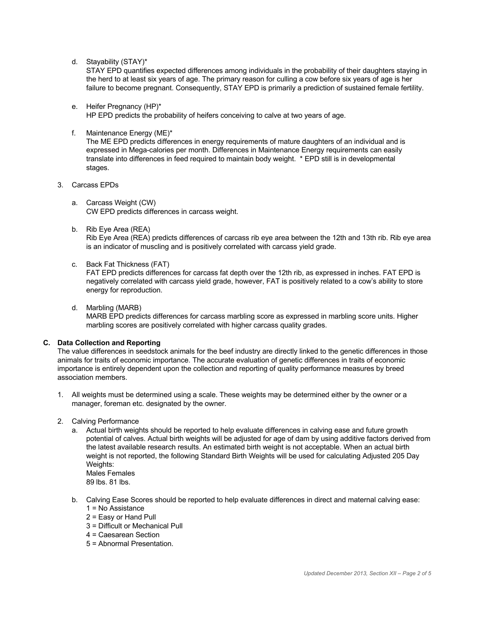d. Stayability (STAY)\*

STAY EPD quantifies expected differences among individuals in the probability of their daughters staying in the herd to at least six years of age. The primary reason for culling a cow before six years of age is her failure to become pregnant. Consequently, STAY EPD is primarily a prediction of sustained female fertility.

- e. Heifer Pregnancy (HP)\* HP EPD predicts the probability of heifers conceiving to calve at two years of age.
- f. Maintenance Energy (ME)\*

The ME EPD predicts differences in energy requirements of mature daughters of an individual and is expressed in Mega-calories per month. Differences in Maintenance Energy requirements can easily translate into differences in feed required to maintain body weight. \* EPD still is in developmental stages.

- 3. Carcass EPDs
	- a. Carcass Weight (CW) CW EPD predicts differences in carcass weight.
	- b. Rib Eye Area (REA)

Rib Eye Area (REA) predicts differences of carcass rib eye area between the 12th and 13th rib. Rib eye area is an indicator of muscling and is positively correlated with carcass yield grade.

c. Back Fat Thickness (FAT)

FAT EPD predicts differences for carcass fat depth over the 12th rib, as expressed in inches. FAT EPD is negatively correlated with carcass yield grade, however, FAT is positively related to a cow's ability to store energy for reproduction.

d. Marbling (MARB)

MARB EPD predicts differences for carcass marbling score as expressed in marbling score units. Higher marbling scores are positively correlated with higher carcass quality grades.

#### **C. Data Collection and Reporting**

The value differences in seedstock animals for the beef industry are directly linked to the genetic differences in those animals for traits of economic importance. The accurate evaluation of genetic differences in traits of economic importance is entirely dependent upon the collection and reporting of quality performance measures by breed association members.

- 1. All weights must be determined using a scale. These weights may be determined either by the owner or a manager, foreman etc. designated by the owner.
- 2. Calving Performance
	- a. Actual birth weights should be reported to help evaluate differences in calving ease and future growth potential of calves. Actual birth weights will be adjusted for age of dam by using additive factors derived from the latest available research results. An estimated birth weight is not acceptable. When an actual birth weight is not reported, the following Standard Birth Weights will be used for calculating Adjusted 205 Day Weights: Males Females

89 lbs. 81 lbs.

- b. Calving Ease Scores should be reported to help evaluate differences in direct and maternal calving ease:
	- 1 = No Assistance 2 = Easy or Hand Pull
	- 3 = Difficult or Mechanical Pull
	- 4 = Caesarean Section
	- 5 = Abnormal Presentation.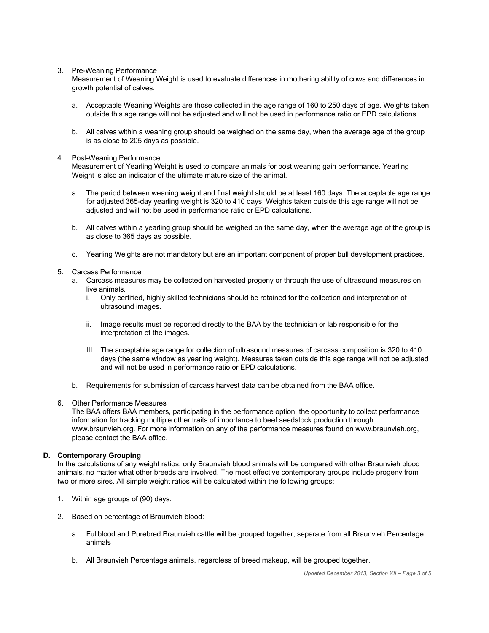#### 3. Pre-Weaning Performance

Measurement of Weaning Weight is used to evaluate differences in mothering ability of cows and differences in growth potential of calves.

- a. Acceptable Weaning Weights are those collected in the age range of 160 to 250 days of age. Weights taken outside this age range will not be adjusted and will not be used in performance ratio or EPD calculations.
- b. All calves within a weaning group should be weighed on the same day, when the average age of the group is as close to 205 days as possible.

#### 4. Post-Weaning Performance

Measurement of Yearling Weight is used to compare animals for post weaning gain performance. Yearling Weight is also an indicator of the ultimate mature size of the animal.

- a. The period between weaning weight and final weight should be at least 160 days. The acceptable age range for adjusted 365-day yearling weight is 320 to 410 days. Weights taken outside this age range will not be adjusted and will not be used in performance ratio or EPD calculations.
- b. All calves within a yearling group should be weighed on the same day, when the average age of the group is as close to 365 days as possible.
- c. Yearling Weights are not mandatory but are an important component of proper bull development practices.
- 5. Carcass Performance
	- a. Carcass measures may be collected on harvested progeny or through the use of ultrasound measures on live animals.
		- i. Only certified, highly skilled technicians should be retained for the collection and interpretation of ultrasound images.
		- ii. Image results must be reported directly to the BAA by the technician or lab responsible for the interpretation of the images.
		- III. The acceptable age range for collection of ultrasound measures of carcass composition is 320 to 410 days (the same window as yearling weight). Measures taken outside this age range will not be adjusted and will not be used in performance ratio or EPD calculations.
	- b. Requirements for submission of carcass harvest data can be obtained from the BAA office.
- 6. Other Performance Measures

The BAA offers BAA members, participating in the performance option, the opportunity to collect performance information for tracking multiple other traits of importance to beef seedstock production through www.braunvieh.org. For more information on any of the performance measures found on www.braunvieh.org, please contact the BAA office.

#### **D. Contemporary Grouping**

In the calculations of any weight ratios, only Braunvieh blood animals will be compared with other Braunvieh blood animals, no matter what other breeds are involved. The most effective contemporary groups include progeny from two or more sires. All simple weight ratios will be calculated within the following groups:

- 1. Within age groups of (90) days.
- 2. Based on percentage of Braunvieh blood:
	- a. Fullblood and Purebred Braunvieh cattle will be grouped together, separate from all Braunvieh Percentage animals
	- b. All Braunvieh Percentage animals, regardless of breed makeup, will be grouped together.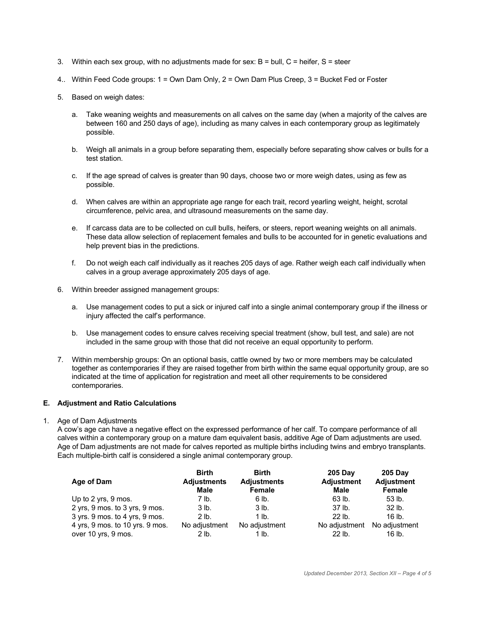- 3. Within each sex group, with no adjustments made for sex:  $B = \text{bull}$ ,  $C = \text{heifer}$ ,  $S = \text{steer}$
- 4.. Within Feed Code groups: 1 = Own Dam Only, 2 = Own Dam Plus Creep, 3 = Bucket Fed or Foster
- 5. Based on weigh dates:
	- a. Take weaning weights and measurements on all calves on the same day (when a majority of the calves are between 160 and 250 days of age), including as many calves in each contemporary group as legitimately possible.
	- b. Weigh all animals in a group before separating them, especially before separating show calves or bulls for a test station.
	- c. If the age spread of calves is greater than 90 days, choose two or more weigh dates, using as few as possible.
	- d. When calves are within an appropriate age range for each trait, record yearling weight, height, scrotal circumference, pelvic area, and ultrasound measurements on the same day.
	- e. If carcass data are to be collected on cull bulls, heifers, or steers, report weaning weights on all animals. These data allow selection of replacement females and bulls to be accounted for in genetic evaluations and help prevent bias in the predictions.
	- f. Do not weigh each calf individually as it reaches 205 days of age. Rather weigh each calf individually when calves in a group average approximately 205 days of age.
- 6. Within breeder assigned management groups:
	- a. Use management codes to put a sick or injured calf into a single animal contemporary group if the illness or injury affected the calf's performance.
	- b. Use management codes to ensure calves receiving special treatment (show, bull test, and sale) are not included in the same group with those that did not receive an equal opportunity to perform.
- 7. Within membership groups: On an optional basis, cattle owned by two or more members may be calculated together as contemporaries if they are raised together from birth within the same equal opportunity group, are so indicated at the time of application for registration and meet all other requirements to be considered contemporaries.

#### **E. Adjustment and Ratio Calculations**

1. Age of Dam Adjustments

A cow's age can have a negative effect on the expressed performance of her calf. To compare performance of all calves within a contemporary group on a mature dam equivalent basis, additive Age of Dam adjustments are used. Age of Dam adjustments are not made for calves reported as multiple births including twins and embryo transplants. Each multiple-birth calf is considered a single animal contemporary group.

| Age of Dam                      | <b>Birth</b><br><b>Adjustments</b><br>Male | <b>Birth</b><br><b>Adjustments</b><br><b>Female</b> | <b>205 Day</b><br><b>Adjustment</b><br>Male | <b>205 Day</b><br><b>Adjustment</b><br><b>Female</b> |
|---------------------------------|--------------------------------------------|-----------------------------------------------------|---------------------------------------------|------------------------------------------------------|
| Up to 2 yrs, 9 mos.             | 7 lb.                                      | 6 lb.                                               | 63 lb.                                      | $53$ lb.                                             |
| 2 yrs, 9 mos. to 3 yrs, 9 mos.  | 3 lb.                                      | $3$ lb.                                             | 37 <sub>lb</sub>                            | 32 lb.                                               |
| 3 yrs. 9 mos. to 4 yrs, 9 mos.  | $2$ lb.                                    | 1 lb.                                               | $22$ lb.                                    | 16 lb.                                               |
| 4 yrs, 9 mos. to 10 yrs. 9 mos. | No adjustment                              | No adjustment                                       | No adjustment                               | No adjustment                                        |
| over 10 yrs, 9 mos.             | 2 lb.                                      | 1 lb.                                               | 22 lb.                                      | 16 lb.                                               |